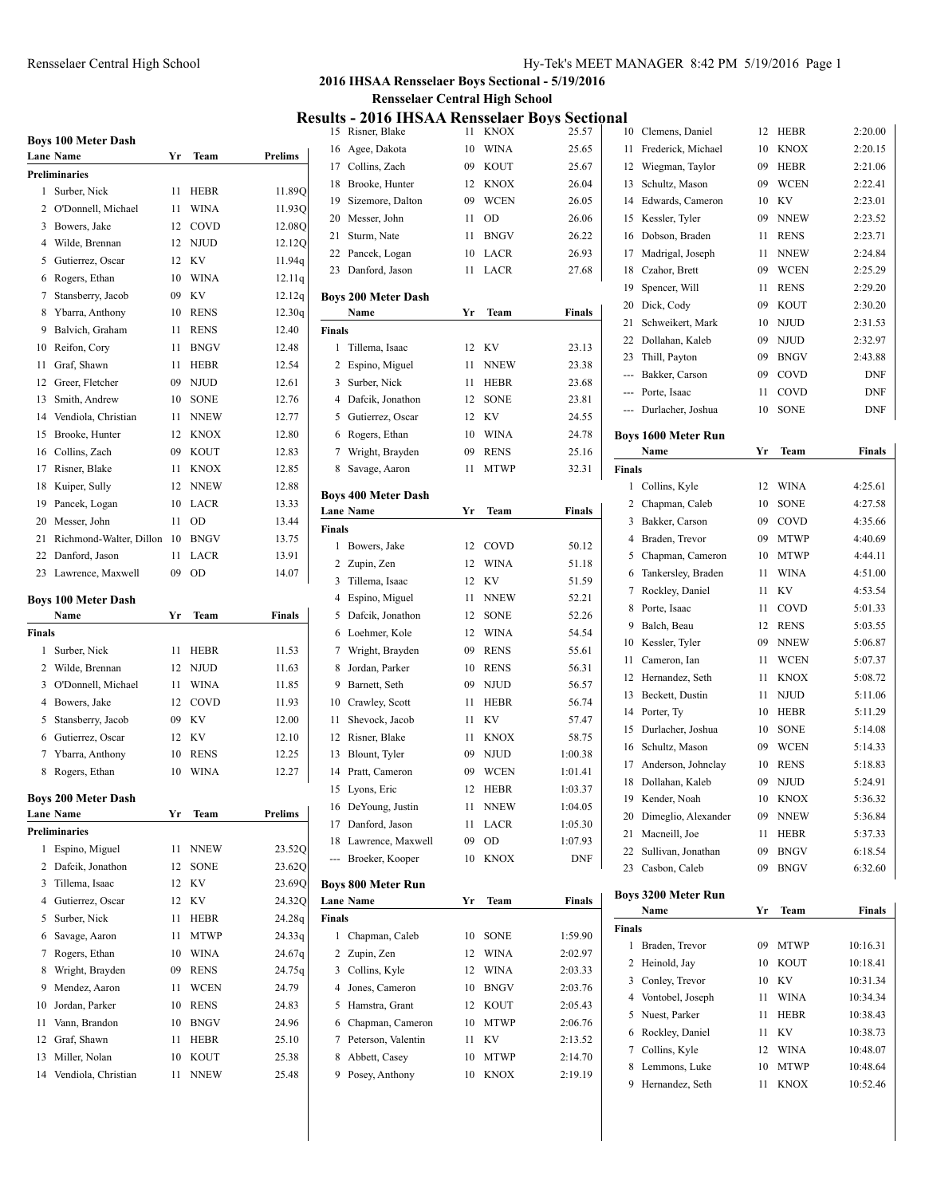## Rensselaer Central High School Hy-Tek's MEET MANAGER 8:42 PM 5/19/2016 Page 1

## **2016 IHSAA Rensselaer Boys Sectional - 5/19/2016 Rensselaer Central High School**

**Results - 2016 IHSAA Rensselaer Boys Sectional**

|        | <b>Boys 100 Meter Dash</b><br><b>Lane Name</b> | Yr              | Team        | Prelims          |
|--------|------------------------------------------------|-----------------|-------------|------------------|
|        | <b>Preliminaries</b>                           |                 |             |                  |
| 1      | Surber, Nick                                   | 11              | HEBR        | 11.89Q           |
| 2      | O'Donnell, Michael                             | 11              | WINA        | 11.930           |
| 3      | Bowers, Jake                                   | 12 <sup>2</sup> | COVD        | 12.08Q           |
|        | 4 Wilde, Brennan                               | 12              | <b>NJUD</b> | 12.12Q           |
| 5      | Gutierrez, Oscar                               | 12              | KV          | 11.94q           |
| 6      | Rogers, Ethan                                  | 10              | <b>WINA</b> | 12.11q           |
| 7      | Stansberry, Jacob                              | 09              | KV          | 12.12q           |
| 8      | Ybarra, Anthony                                | 10              | <b>RENS</b> | 12.30q           |
| 9.     | Balvich, Graham                                | 11              | <b>RENS</b> | 12.40            |
| 10     | Reifon, Cory                                   | 11              | <b>BNGV</b> | 12.48            |
| 11     | Graf, Shawn                                    | 11              | HEBR        | 12.54            |
| 12     | Greer, Fletcher                                | 09              | NJUD        | 12.61            |
| 13     | Smith, Andrew                                  | 10              | <b>SONE</b> | 12.76            |
|        | 14 Vendiola, Christian                         | 11              | <b>NNEW</b> | 12.77            |
| 15     | Brooke, Hunter                                 | 12              | KNOX        | 12.80            |
| 16     | Collins, Zach                                  | 09              | <b>KOUT</b> | 12.83            |
| 17     | Risner, Blake                                  | 11              | <b>KNOX</b> | 12.85            |
| 18     | Kuiper, Sully                                  | 12              | <b>NNEW</b> | 12.88            |
| 19     | Pancek, Logan                                  | 10              | LACR        | 13.33            |
| 20     | Messer, John                                   | 11              | <b>OD</b>   | 13.44            |
| 21     | Richmond-Walter, Dillon                        | 10              | <b>BNGV</b> | 13.75            |
| 22     | Danford, Jason                                 | 11              | LACR        | 13.91            |
| 23     | Lawrence, Maxwell                              | 09              | OD          | 14.07            |
|        |                                                |                 |             |                  |
|        | <b>Boys 100 Meter Dash</b>                     |                 |             |                  |
| Finals | Name                                           | Yr              | Team        | <b>Finals</b>    |
| 1      | Surber, Nick                                   | 11              | <b>HEBR</b> | 11.53            |
| 2      | Wilde, Brennan                                 | 12              | NJUD        | 11.63            |
| 3      | O'Donnell, Michael                             | 11              | <b>WINA</b> | 11.85            |
| 4      | Bowers, Jake                                   | 12              | COVD        | 11.93            |
| 5      | Stansberry, Jacob                              | 09              | KV          | 12.00            |
| 6      | Gutierrez, Oscar                               | 12              | KV          | 12.10            |
| 7      | Ybarra, Anthony                                | 10              | <b>RENS</b> | 12.25            |
| 8      |                                                | 10              | <b>WINA</b> | 12.27            |
|        | Rogers, Ethan                                  |                 |             |                  |
|        | <b>Boys 200 Meter Dash</b>                     |                 |             |                  |
|        | <b>Lane Name</b><br><b>Preliminaries</b>       | Yr              | Team        | <b>Prelims</b>   |
|        |                                                |                 |             |                  |
| 1<br>2 | Espino, Miguel<br>Dafcik, Jonathon             | 11              | NNEW        | 23.52Q           |
|        |                                                | 12              | SONE        | 23.62Q<br>23.690 |
| 3      | Tillema, Isaac                                 | 12              | KV          |                  |
| 4      | Gutierrez, Oscar                               | 12              | KV          | 24.32Q           |
| 5      | Surber, Nick                                   | 11              | HEBR        | 24.28q           |
| 6      | Savage, Aaron                                  | 11              | MTWP        | 24.33q           |
| 7      | Rogers, Ethan                                  | 10              | WINA        | 24.67q           |
| 8      | Wright, Brayden                                | 09              | <b>RENS</b> | 24.75q           |
| 9      | Mendez, Aaron                                  | 11              | <b>WCEN</b> | 24.79            |
| 10     | Jordan, Parker                                 | 10              | <b>RENS</b> | 24.83            |
| 11     | Vann, Brandon                                  | 10              | <b>BNGV</b> | 24.96            |
| 12     | Graf, Shawn                                    | 11              | HEBR        | 25.10            |
| 13     | Miller, Nolan                                  | 10              | KOUT        | 25.38            |
| 14     | Vendiola, Christian                            | 11              | NNEW        | 25.48            |

| 15             | .,<br>w<br>. .<br>Risner, Blake    | .<br>11 | KNOX        | , J N<br>25.57 |
|----------------|------------------------------------|---------|-------------|----------------|
| 16             | Agee, Dakota                       | 10      | WINA        | 25.65          |
|                | 17 Collins, Zach                   | 09      | KOUT        | 25.67          |
| 18             | Brooke, Hunter                     | 12      | <b>KNOX</b> | 26.04          |
| 19             | Sizemore, Dalton                   | 09      | <b>WCEN</b> | 26.05          |
| 20             | Messer, John                       | 11      | OD          | 26.06          |
| 21             | Sturm, Nate                        | 11      | <b>BNGV</b> | 26.22          |
| 22             | Pancek, Logan                      | 10      | LACR        | 26.93          |
| 23             | Danford, Jason                     | 11      | LACR        | 27.68          |
|                | <b>Boys 200 Meter Dash</b><br>Name | Yr      | Team        | Finals         |
| <b>Finals</b>  |                                    |         |             |                |
| 1              | Tillema, Isaac                     | 12      | KV          | 23.13          |
| 2              | Espino, Miguel                     | 11      | <b>NNEW</b> | 23.38          |
| 3              | Surber, Nick                       | 11      | HEBR        | 23.68          |
| 4              | Dafcik, Jonathon                   | 12      | <b>SONE</b> | 23.81          |
| 5              | Gutierrez, Oscar                   | 12      | KV          | 24.55          |
| 6              | Rogers, Ethan                      | 10      | <b>WINA</b> | 24.78          |
| 7              | Wright, Brayden                    | 09      | <b>RENS</b> | 25.16          |
| 8              | Savage, Aaron                      | 11      | MTWP        | 32.31          |
|                |                                    |         |             |                |
|                | <b>Boys 400 Meter Dash</b>         |         |             |                |
|                | <b>Lane Name</b>                   | Yr      | Team        | Finals         |
| Finals         |                                    |         |             |                |
| 1              | Bowers, Jake                       | 12      | COVD        | 50.12          |
| 2              | Zupin, Zen                         | 12      | WINA        | 51.18          |
| 3              | Tillema, Isaac                     | 12      | KV          | 51.59          |
| 4              | Espino, Miguel                     | 11      | <b>NNEW</b> | 52.21          |
| 5              | Dafcik, Jonathon                   | 12      | <b>SONE</b> | 52.26          |
| 6              | Loehmer, Kole                      | 12      | <b>WINA</b> | 54.54          |
| 7              | Wright, Brayden                    | 09      | <b>RENS</b> | 55.61          |
| 8              | Jordan, Parker                     | 10      | <b>RENS</b> | 56.31          |
| 9              | Barnett, Seth                      | 09      | NJUD        | 56.57          |
| 10             | Crawley, Scott                     | 11      | HEBR        | 56.74          |
| 11             | Shevock, Jacob                     | 11      | KV          | 57.47          |
| 12             | Risner, Blake                      | 11      | KNOX        | 58.75          |
| 13             | Blount, Tyler                      | 09      | NJUD        | 1:00.38        |
| 14             | Pratt, Cameron                     | 09      | WCEN        | 1:01.41        |
| 15             | Lyons, Eric                        | 12      | HEBR        | 1:03.37        |
| 16             | DeYoung, Justin                    | 11      | <b>NNEW</b> | 1:04.05        |
| 17             | Danford, Jason                     | 11      | LACR        | 1:05.30        |
| 18             | Lawrence, Maxwell                  | 09      | OD          | 1:07.93        |
| ---            | Broeker, Kooper                    | 10      | <b>KNOX</b> | DNF            |
|                | <b>Boys 800 Meter Run</b>          |         |             |                |
|                | <b>Lane Name</b>                   | Yr      | Team        | Finals         |
| <b>Finals</b>  |                                    |         |             |                |
| 1              | Chapman, Caleb                     | 10      | SONE        | 1:59.90        |
| $\overline{c}$ | Zupin, Zen                         | 12      | <b>WINA</b> | 2:02.97        |
| 3              | Collins, Kyle                      | 12      | <b>WINA</b> | 2:03.33        |
| 4              | Jones, Cameron                     | 10      | <b>BNGV</b> | 2:03.76        |
| 5              | Hamstra, Grant                     | 12      | KOUT        | 2:05.43        |
| 6              | Chapman, Cameron                   | 10      | <b>MTWP</b> | 2:06.76        |
| 7              | Peterson, Valentin                 | 11      | ΚV          | 2:13.52        |
| 8              | Abbett, Casey                      | 10      | MTWP        | 2:14.70        |
| 9              | Posey, Anthony                     | 10      | KNOX        | 2:19.19        |
|                |                                    |         |             |                |

| 10            | Clemens, Daniel                    | 12       | HEBR        | 2:20.00       |
|---------------|------------------------------------|----------|-------------|---------------|
| 11            | Frederick, Michael                 | 10       | <b>KNOX</b> | 2:20.15       |
| 12            | Wiegman, Taylor                    | 09       | <b>HEBR</b> | 2:21.06       |
| 13            | Schultz, Mason                     | 09       | <b>WCEN</b> | 2:22.41       |
| 14            | Edwards, Cameron                   | 10       | KV          | 2:23.01       |
|               |                                    |          | <b>NNEW</b> | 2:23.52       |
| 15            | Kessler, Tyler                     | 09       |             |               |
| 16            | Dobson, Braden                     | 11       | <b>RENS</b> | 2:23.71       |
| 17            | Madrigal, Joseph                   | 11       | <b>NNEW</b> | 2:24.84       |
| 18            | Czahor, Brett                      | 09       | <b>WCEN</b> | 2:25.29       |
| 19            | Spencer, Will                      | 11       | <b>RENS</b> | 2:29.20       |
| 20            | Dick, Cody                         | 09       | KOUT        | 2:30.20       |
| 21            | Schweikert, Mark                   | 10       | NJUD        | 2:31.53       |
| 22            | Dollahan, Kaleb                    | 09       | <b>NJUD</b> | 2:32.97       |
| 23            | Thill, Payton                      | 09       | <b>BNGV</b> | 2:43.88       |
| ---           | Bakker, Carson                     | 09       | COVD        | DNF           |
|               | --- Porte, Isaac                   | 11       | COVD        | DNF           |
|               | --- Durlacher, Joshua              | 10       | <b>SONE</b> | DNF           |
|               | <b>Boys 1600 Meter Run</b>         |          |             |               |
|               | Name                               | Yr       | Team        | <b>Finals</b> |
| <b>Finals</b> |                                    |          |             |               |
| 1             | Collins, Kyle                      | 12       | WINA        | 4:25.61       |
| 2             | Chapman, Caleb                     | 10       | SONE        | 4:27.58       |
| 3             | Bakker, Carson                     | 09       | COVD        | 4:35.66       |
| 4             | Braden, Trevor                     | 09       | <b>MTWP</b> | 4:40.69       |
| 5             | Chapman, Cameron                   | 10       | <b>MTWP</b> | 4:44.11       |
| 6             | Tankersley, Braden                 | 11       | WINA        | 4:51.00       |
| 7             | Rockley, Daniel                    | 11       | KV          | 4:53.54       |
| 8             | Porte, Isaac                       | 11       | COVD        | 5:01.33       |
| 9             | Balch, Beau                        | 12       | <b>RENS</b> | 5:03.55       |
| 10            | Kessler, Tyler                     | 09       | <b>NNEW</b> | 5:06.87       |
| 11            | Cameron, Ian                       | 11       | WCEN        | 5:07.37       |
| 12            | Hernandez, Seth                    | 11       | KNOX        | 5:08.72       |
| 13            | Beckett, Dustin                    | 11       | NJUD        | 5:11.06       |
| 14            | Porter, Ty                         | 10       | HEBR        | 5:11.29       |
| 15            | Durlacher, Joshua                  | 10       | SONE        | 5:14.08       |
| 16            | Schultz, Mason                     | 09       | <b>WCEN</b> | 5:14.33       |
| 17            | Anderson, Johnclay                 | 10       | <b>RENS</b> | 5:18.83       |
| 18            | Dollahan, Kaleb                    | 09       | <b>NJUD</b> | 5:24.91       |
|               | 19 Kender, Noah                    | 10       | <b>KNOX</b> | 5:36.32       |
| 20            | Dimeglio, Alexander                | 09       | <b>NNEW</b> | 5:36.84       |
| 21            | Macneill, Joe                      | 11       | HEBR        | 5:37.33       |
| 22            | Sullivan, Jonathan                 | 09       | <b>BNGV</b> | 6:18.54       |
| 23            | Casbon, Caleb                      | 09       | <b>BNGV</b> | 6:32.60       |
|               |                                    |          |             |               |
|               | <b>Boys 3200 Meter Run</b><br>Name | Yr       | Team        | Finals        |
| Finals        |                                    |          |             |               |
| 1             | Braden, Trevor                     | 09       | MTWP        | 10:16.31      |
| 2             | Heinold, Jay                       | 10       | <b>KOUT</b> | 10:18.41      |
|               |                                    |          |             |               |
| 3             | Conley, Trevor                     | 10       | KV          | 10:31.34      |
| 4             | Vontobel, Joseph                   | 11       | WINA        | 10:34.34      |
| 5             | Nuest, Parker                      | 11       | HEBR        | 10:38.43      |
| 6             | Rockley, Daniel                    | 11<br>12 | KV          | 10:38.73      |
| 7             | Collins, Kyle                      |          | WINA        | 10:48.07      |
| 8             | Lemmons, Luke                      | 10       | MTWP        | 10:48.64      |
| 9             | Hernandez, Seth                    | 11       | <b>KNOX</b> | 10:52.46      |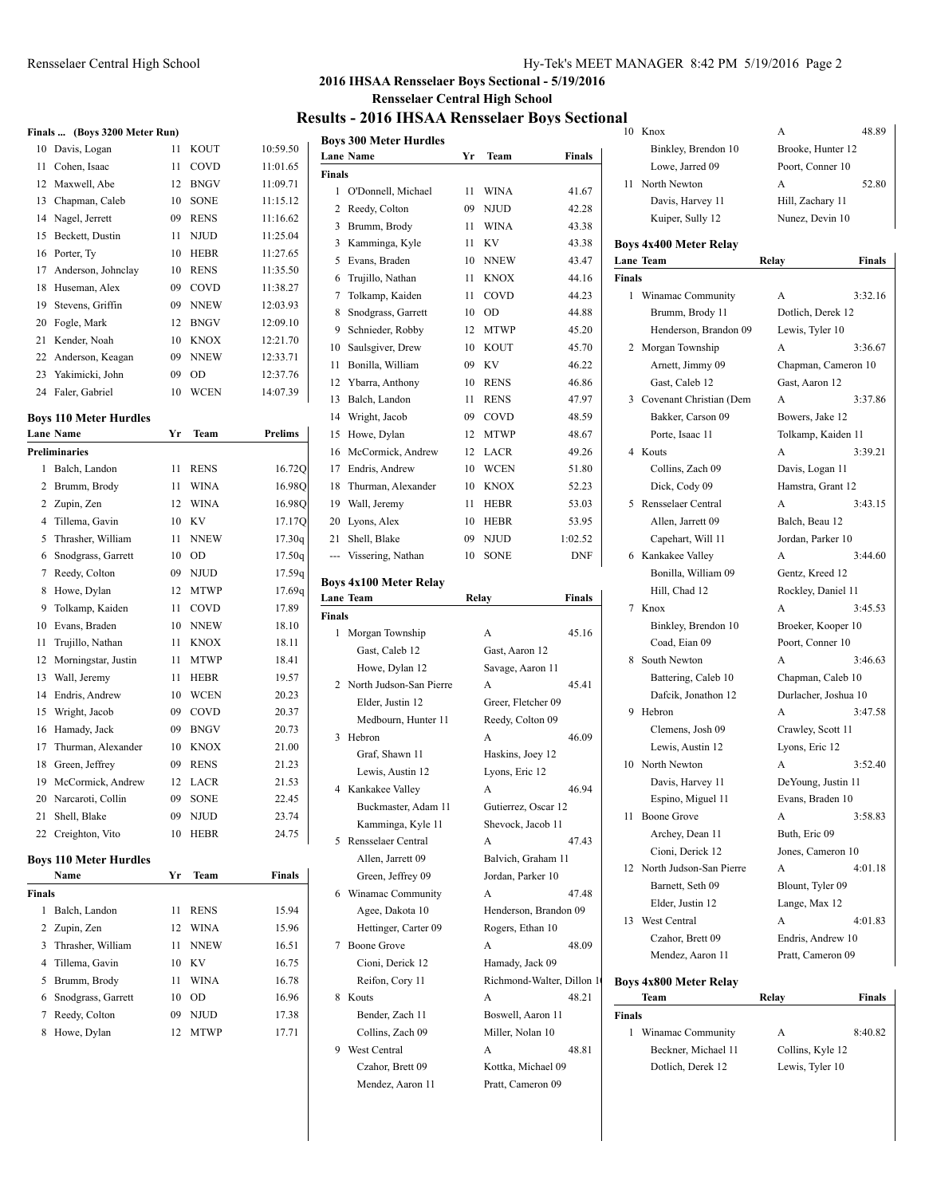### Rensselaer Central High School Hy-Tek's MEET MANAGER 8:42 PM 5/19/2016 Page 2

## **2016 IHSAA Rensselaer Boys Sectional - 5/19/2016 Rensselaer Central High School**

#### **Results - 2016 IHSAA Rensselaer Boys Sectional** 10 Knox A 48.89

|    | Finals  (Boys 3200 Meter Run) |    |             |                |
|----|-------------------------------|----|-------------|----------------|
| 10 | Davis, Logan                  | 11 | <b>KOUT</b> | 10:59.50       |
| 11 | Cohen, Isaac                  | 11 | COVD        | 11:01.65       |
| 12 | Maxwell, Abe                  | 12 | <b>BNGV</b> | 11:09.71       |
| 13 | Chapman, Caleb                | 10 | <b>SONE</b> | 11:15.12       |
| 14 | Nagel, Jerrett                | 09 | <b>RENS</b> | 11:16.62       |
| 15 | Beckett, Dustin               | 11 | <b>NJUD</b> | 11:25.04       |
| 16 | Porter, Ty                    | 10 | <b>HEBR</b> | 11:27.65       |
| 17 | Anderson, Johnclay            | 10 | <b>RENS</b> | 11:35.50       |
| 18 | Huseman, Alex                 | 09 | COVD        | 11:38.27       |
| 19 | Stevens, Griffin              | 09 | <b>NNEW</b> | 12:03.93       |
| 20 | Fogle, Mark                   | 12 | <b>BNGV</b> | 12:09.10       |
| 21 | Kender, Noah                  | 10 | <b>KNOX</b> | 12:21.70       |
| 22 | Anderson, Keagan              | 09 | <b>NNEW</b> | 12:33.71       |
| 23 | Yakimicki, John               | 09 | <b>OD</b>   | 12:37.76       |
| 24 | Faler, Gabriel                | 10 | <b>WCEN</b> | 14:07.39       |
|    | <b>Boys 110 Meter Hurdles</b> |    |             |                |
|    | <b>Lane Name</b>              | Yr | Team        | <b>Prelims</b> |
|    |                               |    |             |                |

|                | <b>Preliminaries</b> |    |             |        |
|----------------|----------------------|----|-------------|--------|
| 1              | Balch, Landon        | 11 | <b>RENS</b> | 16.72Q |
| $\overline{c}$ | Brumm, Brody         | 11 | <b>WINA</b> | 16.980 |
| 2              | Zupin, Zen           | 12 | <b>WINA</b> | 16.98Q |
| 4              | Tillema, Gavin       | 10 | KV          | 17.17Q |
| 5              | Thrasher, William    | 11 | <b>NNEW</b> | 17.30q |
| 6              | Snodgrass, Garrett   | 10 | <b>OD</b>   | 17.50q |
| 7              | Reedy, Colton        | 09 | <b>NJUD</b> | 17.59q |
| 8              | Howe, Dylan          | 12 | <b>MTWP</b> | 17.69q |
| 9              | Tolkamp, Kaiden      | 11 | COVD        | 17.89  |
| 10             | Evans, Braden        | 10 | <b>NNEW</b> | 18.10  |
| 11             | Trujillo, Nathan     | 11 | <b>KNOX</b> | 18.11  |
| 12             | Morningstar, Justin  | 11 | <b>MTWP</b> | 18.41  |
| 13             | Wall, Jeremy         | 11 | <b>HEBR</b> | 19.57  |
| 14             | Endris, Andrew       | 10 | <b>WCEN</b> | 20.23  |
| 15             | Wright, Jacob        | 09 | COVD        | 20.37  |
| 16             | Hamady, Jack         | 09 | <b>BNGV</b> | 20.73  |
| 17             | Thurman, Alexander   | 10 | <b>KNOX</b> | 21.00  |
| 18             | Green, Jeffrey       | 09 | <b>RENS</b> | 21.23  |
| 19             | McCormick, Andrew    | 12 | LACR        | 21.53  |
| 20             | Narcaroti, Collin    | 09 | <b>SONE</b> | 22.45  |
| 21             | Shell, Blake         | 09 | <b>NJUD</b> | 23.74  |
| 22             | Creighton, Vito      | 10 | <b>HEBR</b> | 24.75  |

#### **Boys 110 Meter Hurdles**

|               | Name                 | Yr  | <b>Team</b> | Finals |
|---------------|----------------------|-----|-------------|--------|
| <b>Finals</b> |                      |     |             |        |
| 1             | Balch, Landon        | 11  | <b>RENS</b> | 15.94  |
|               | 2 Zupin, Zen         | 12  | <b>WINA</b> | 15.96  |
|               | 3 Thrasher, William  | 11  | <b>NNEW</b> | 16.51  |
|               | 4 Tillema, Gavin     | 10  | – KV        | 16.75  |
|               | 5 Brumm, Brody       | 11  | <b>WINA</b> | 16.78  |
|               | 6 Snodgrass, Garrett | 10  | 0D          | 16.96  |
|               | Reedy, Colton        | 09  | N.IUD       | 17.38  |
| 8             | Howe, Dylan          | 12. | <b>MTWP</b> | 17.71  |

|               |                               |       |                           |            | $_{1}$       |
|---------------|-------------------------------|-------|---------------------------|------------|--------------|
|               | <b>Boys 300 Meter Hurdles</b> |       |                           |            |              |
|               | <b>Lane Name</b>              | Yr    | Team                      | Finals     |              |
| Finals        |                               |       |                           |            | 1            |
| $\mathbf{1}$  | O'Donnell, Michael            | 11    | WINA                      | 41.67      |              |
| 2             | Reedy, Colton                 | 09    | NJUD                      | 42.28      |              |
| 3             | Brumm, Brody                  | 11    | WINA                      | 43.38      |              |
| 3             | Kamminga, Kyle                | 11    | KV                        | 43.38      | Bo           |
| 5             | Evans, Braden                 | 10    | NNEW                      | 43.47      | Laı          |
| 6             | Trujillo, Nathan              | 11    | <b>KNOX</b><br>COVD       | 44.16      | Fin          |
| 7             | Tolkamp, Kaiden               | 11    |                           | 44.23      |              |
| 8             | Snodgrass, Garrett            | 10    | OD                        | 44.88      |              |
| 9             | Schnieder, Robby              | 12    | <b>MTWP</b>               | 45.20      |              |
| 10            | Saulsgiver, Drew              | 10    | KOUT                      | 45.70      |              |
| 11            | Bonilla, William              | 09    | KV                        | 46.22      |              |
| 12            | Ybarra, Anthony               | 10    | <b>RENS</b>               | 46.86      |              |
| 13            | Balch, Landon                 | 11    | <b>RENS</b>               | 47.97      |              |
|               | 14 Wright, Jacob              | 09    | COVD                      | 48.59      |              |
| 15            | Howe, Dylan                   | 12    | MTWP                      | 48.67      |              |
|               | 16 McCormick, Andrew          | 12    | LACR                      | 49.26      |              |
| 17            | Endris, Andrew                | 10    | <b>WCEN</b>               | 51.80      |              |
| 18            | Thurman, Alexander            | 10    | KNOX                      | 52.23      |              |
|               | 19 Wall, Jeremy               | 11    | HEBR                      | 53.03      |              |
| 20            | Lyons, Alex                   | 10    | HEBR                      | 53.95      |              |
| 21            | Shell, Blake                  | 09    | NJUD                      | 1:02.52    |              |
| ---           | Vissering, Nathan             | 10    | <b>SONE</b>               | <b>DNF</b> |              |
|               | <b>Boys 4x100 Meter Relay</b> |       |                           |            |              |
|               | <b>Lane Team</b>              | Relay |                           | Finals     |              |
| <b>Finals</b> |                               |       |                           |            |              |
| 1             | Morgan Township               |       | A                         | 45.16      |              |
|               | Gast, Caleb 12                |       | Gast, Aaron 12            |            |              |
|               | Howe, Dylan 12                |       | Savage, Aaron 11          |            |              |
| 2             | North Judson-San Pierre       |       | A                         | 45.41      |              |
|               | Elder, Justin 12              |       | Greer, Fletcher 09        |            |              |
|               | Medbourn, Hunter 11           |       | Reedy, Colton 09          |            |              |
| 3             | Hebron                        |       | A                         | 46.09      |              |
|               | Graf, Shawn 11                |       | Haskins, Joey 12          |            |              |
|               | Lewis, Austin 12              |       | Lyons, Eric 12            |            | $\mathbf{1}$ |
| 4             | Kankakee Valley               |       | А                         | 46.94      |              |
|               | Buckmaster, Adam 11           |       | Gutierrez, Oscar 12       |            |              |
|               | Kamminga, Kyle 11             |       | Shevock, Jacob 11         |            | 1            |
| 5             | Rensselaer Central            |       | A                         | 47.43      |              |
|               | Allen, Jarrett 09             |       | Balvich, Graham 11        |            |              |
|               | Green, Jeffrey 09             |       | Jordan, Parker 10         |            | 1.           |
| 6             | Winamac Community             |       | A                         | 47.48      |              |
|               | Agee, Dakota 10               |       | Henderson, Brandon 09     |            |              |
|               | Hettinger, Carter 09          |       | Rogers, Ethan 10          |            | 1.           |
| 7             | Boone Grove                   |       | A                         | 48.09      |              |
|               | Cioni, Derick 12              |       | Hamady, Jack 09           |            |              |
|               | Reifon, Cory 11               |       | Richmond-Walter, Dillon 1 |            | Bo           |
| 8             | Kouts                         |       | A                         | 48.21      |              |
|               | Bender, Zach 11               |       | Boswell, Aaron 11         |            | Fin          |
|               | Collins, Zach 09              |       | Miller, Nolan 10          |            |              |
| 9             | West Central                  |       | A                         | 48.81      |              |
|               | Czahor, Brett 09              |       | Kottka, Michael 09        |            |              |
|               | Mendez, Aaron 11              |       | Pratt, Cameron 09         |            |              |

|        | Binkley, Brendon 10        | Brooke, Hunter 12    |         |
|--------|----------------------------|----------------------|---------|
|        | Lowe, Jarred 09            | Poort, Conner 10     |         |
| 11     | North Newton               | A                    | 52.80   |
|        | Davis, Harvey 11           | Hill, Zachary 11     |         |
|        | Kuiper, Sully 12           | Nunez, Devin 10      |         |
|        | Boys 4x400 Meter Relay     |                      |         |
|        | Lane Team                  | Relay                | Finals  |
| Finals |                            |                      |         |
| 1      | Winamac Community          | A                    | 3:32.16 |
|        | Brumm, Brody 11            | Dotlich, Derek 12    |         |
|        | Henderson, Brandon 09      | Lewis, Tyler 10      |         |
| 2      | Morgan Township            | А                    | 3:36.67 |
|        | Arnett, Jimmy 09           | Chapman, Cameron 10  |         |
|        | Gast, Caleb 12             | Gast, Aaron 12       |         |
| 3      | Covenant Christian (Dem    | A                    | 3:37.86 |
|        | Bakker, Carson 09          | Bowers, Jake 12      |         |
|        | Porte, Isaac 11            | Tolkamp, Kaiden 11   |         |
| 4      | Kouts                      | А                    | 3:39.21 |
|        | Collins, Zach 09           | Davis, Logan 11      |         |
|        | Dick, Cody 09              | Hamstra, Grant 12    |         |
| 5      | Rensselaer Central         | A                    | 3:43.15 |
|        | Allen, Jarrett 09          | Balch, Beau 12       |         |
|        | Capehart, Will 11          | Jordan, Parker 10    |         |
| 6      | Kankakee Valley            | А                    | 3:44.60 |
|        | Bonilla, William 09        | Gentz, Kreed 12      |         |
|        | Hill, Chad 12              | Rockley, Daniel 11   |         |
| 7      | Knox                       | A                    | 3:45.53 |
|        | Binkley, Brendon 10        | Broeker, Kooper 10   |         |
|        | Coad, Eian 09              | Poort, Conner 10     |         |
| 8      | South Newton               | А                    | 3:46.63 |
|        | Battering, Caleb 10        | Chapman, Caleb 10    |         |
|        | Dafcik, Jonathon 12        | Durlacher, Joshua 10 |         |
| 9      | Hebron                     | А                    | 3:47.58 |
|        | Clemens, Josh 09           | Crawley, Scott 11    |         |
|        | Lewis, Austin 12           | Lyons, Eric 12       |         |
| 10     | North Newton               | A                    | 3:52.40 |
|        | Davis, Harvey 11           | DeYoung, Justin 11   |         |
|        | Espino, Miguel 11          | Evans, Braden 10     |         |
|        | 11 Boone Grove             | А                    | 3:58.83 |
|        | Archey, Dean 11            | Buth, Eric 09        |         |
|        | Cioni, Derick 12           | Jones, Cameron 10    |         |
|        | 12 North Judson-San Pierre | А                    | 4:01.18 |
|        | Barnett, Seth 09           | Blount, Tyler 09     |         |
|        | Elder, Justin 12           | Lange, Max 12        |         |
| 13     | West Central               | А                    | 4:01.83 |
|        | Czahor, Brett 09           | Endris, Andrew 10    |         |
|        | Mendez, Aaron 11           | Pratt, Cameron 09    |         |
|        | Boys 4x800 Meter Relay     |                      |         |
|        | Team                       | Relay                | Finals  |
| Finals |                            |                      |         |
|        | 1 Winamac Community        | А                    | 8:40.82 |

Beckner, Michael 11 Collins, Kyle 12 Dotlich, Derek 12 Lewis, Tyler 10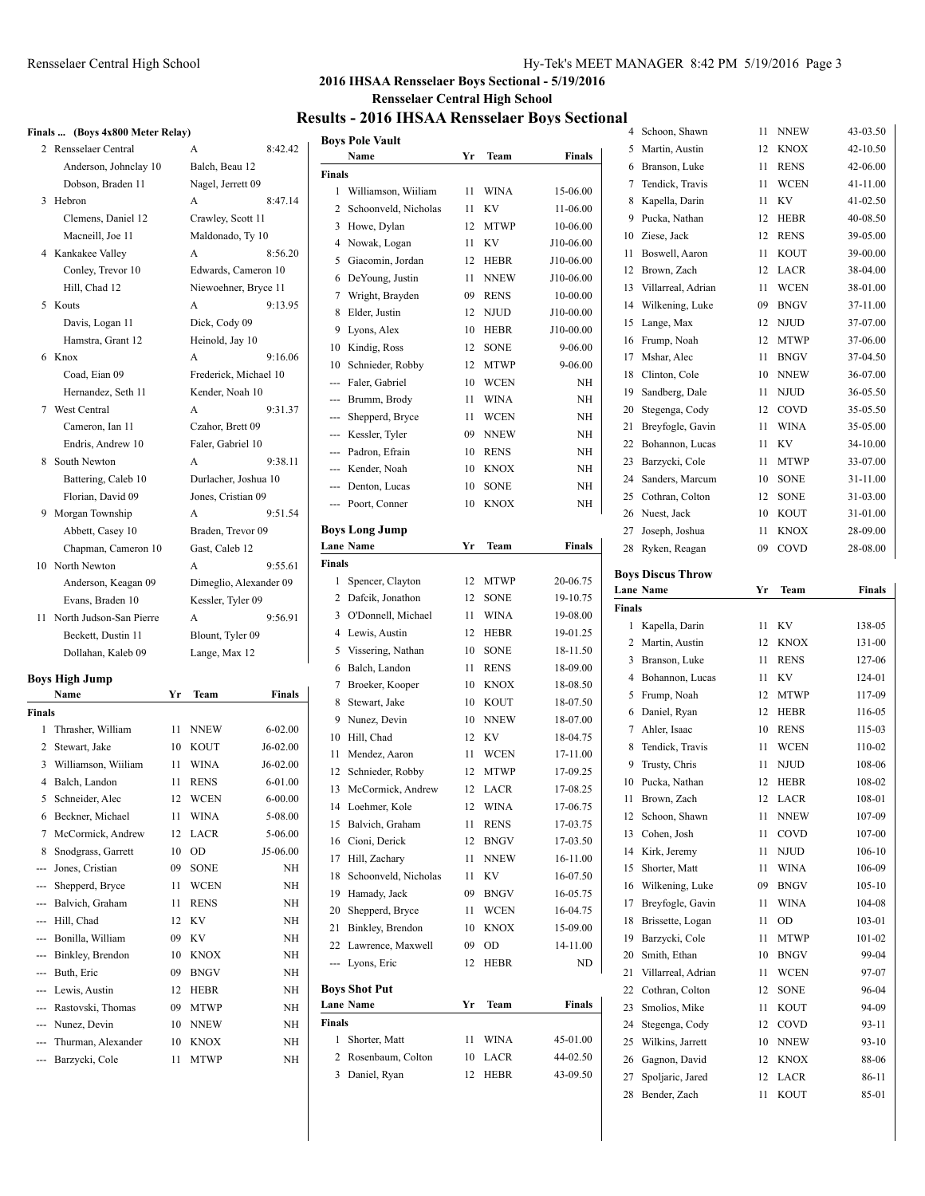### Rensselaer Central High School Hy-Tek's MEET MANAGER 8:42 PM 5/19/2016 Page 3

Bender, Zach 11 KOUT 85-01

# **2016 IHSAA Rensselaer Boys Sectional - 5/19/2016 Rensselaer Central High School**

# **Results - 2016 IHSAA Rensselaer Boys Sectional**

|        | Finals  (Boys 4x800 Meter Relay) |    |                        |               |                           |                                        |         |               |        | 4 Schoon, Shawn                              | 11 NNEW | 43-03.50                                                                                                                                                                                       |
|--------|----------------------------------|----|------------------------|---------------|---------------------------|----------------------------------------|---------|---------------|--------|----------------------------------------------|---------|------------------------------------------------------------------------------------------------------------------------------------------------------------------------------------------------|
|        | 2 Rensselaer Central             |    | A                      | 8:42.42       |                           | <b>Boys Pole Vault</b>                 |         |               |        | 5 Martin, Austin                             | 12 KNOX | 42-10.50                                                                                                                                                                                       |
|        | Anderson, Johnclay 10            |    | Balch, Beau 12         |               |                           | Name                                   | Yr Team | Finals        |        | 6 Branson, Luke                              | 11 RENS | 42-06.00                                                                                                                                                                                       |
|        | Dobson, Braden 11                |    | Nagel, Jerrett 09      |               | <b>Finals</b>             |                                        |         |               |        | 7 Tendick, Travis                            | 11 WCEN | 41-11.00                                                                                                                                                                                       |
|        | 3 Hebron                         |    | A                      | 8:47.14       |                           | 1 Williamson, Wiiliam                  | 11 WINA | 15-06.00      |        | 8 Kapella, Darin                             | 11 KV   | 41-02.50                                                                                                                                                                                       |
|        | Clemens, Daniel 12               |    | Crawley, Scott 11      |               |                           | 2 Schoonveld, Nicholas                 | 11 KV   | 11-06.00      |        | 9 Pucka, Nathan                              | 12 HEBR | 40-08.50                                                                                                                                                                                       |
|        |                                  |    |                        |               |                           | 3 Howe, Dylan                          | 12 MTWP | 10-06.00      |        |                                              | 12 RENS |                                                                                                                                                                                                |
|        | Macneill, Joe 11                 |    | Maldonado, Ty 10       |               |                           | 4 Nowak, Logan                         | 11 KV   | J10-06.00     |        | 10 Ziese, Jack                               |         | 39-05.00                                                                                                                                                                                       |
|        | 4 Kankakee Valley                |    | A                      | 8:56.20       |                           | 5 Giacomin, Jordan                     | 12 HEBR | J10-06.00     |        | 11 Boswell, Aaron                            | 11 KOUT | 39-00.00                                                                                                                                                                                       |
|        | Conley, Trevor 10                |    | Edwards, Cameron 10    |               |                           | 6 DeYoung, Justin                      | 11 NNEW | J10-06.00     |        | 12 Brown, Zach                               | 12 LACR | 38-04.00                                                                                                                                                                                       |
|        | Hill, Chad 12                    |    | Niewoehner, Bryce 11   |               |                           | 7 Wright, Brayden                      | 09 RENS | 10-00.00      |        | 13 Villarreal, Adrian                        | 11 WCEN | 38-01.00                                                                                                                                                                                       |
|        | 5 Kouts                          |    | A                      | 9:13.95       |                           | 8 Elder, Justin                        | 12 NJUD | J10-00.00     |        | 14 Wilkening, Luke                           | 09 BNGV | 37-11.00                                                                                                                                                                                       |
|        | Davis, Logan 11                  |    | Dick, Cody 09          |               |                           | 9 Lyons, Alex                          | 10 HEBR | J10-00.00     |        | 15 Lange, Max                                | 12 NJUD | 37-07.00                                                                                                                                                                                       |
|        | Hamstra, Grant 12                |    | Heinold, Jay 10        |               |                           | 10 Kindig, Ross                        | 12 SONE | 9-06.00       |        | 16 Frump, Noah                               | 12 MTWP | 37-06.00                                                                                                                                                                                       |
|        | 6 Knox                           |    | A                      | 9:16.06       | 10                        | Schnieder, Robby                       | 12 MTWP | 9-06.00       |        | 17 Mshar, Alec                               | 11 BNGV | 37-04.50                                                                                                                                                                                       |
|        | Coad, Eian 09                    |    | Frederick, Michael 10  |               |                           | Faler, Gabriel                         | 10 WCEN | NH            |        | 18 Clinton, Cole                             | 10 NNEW | 36-07.00                                                                                                                                                                                       |
|        | Hernandez, Seth 11               |    | Kender, Noah 10        |               | $\hspace{0.05cm} \ldots$  | Brumm, Brody                           | 11 WINA | NH            |        | 19 Sandberg, Dale                            | 11 NJUD | 36-05.50                                                                                                                                                                                       |
|        | 7 West Central                   |    | A                      | 9:31.37       |                           | Shepperd, Bryce                        | 11 WCEN | NH            |        | 20 Stegenga, Cody                            | 12 COVD | 35-05.50                                                                                                                                                                                       |
|        | Cameron, Ian 11                  |    | Czahor, Brett 09       |               | ---                       | Kessler, Tyler                         | 09 NNEW | NH            |        | 21 Breyfogle, Gavin                          | 11 WINA | 35-05.00                                                                                                                                                                                       |
|        | Endris, Andrew 10                |    | Faler, Gabriel 10      |               | $\qquad \qquad -\qquad -$ | Padron, Efrain                         | 10 RENS | NH            |        | 22 Bohannon, Lucas                           | 11 KV   | 34-10.00                                                                                                                                                                                       |
|        | 8 South Newton                   |    | A                      | 9:38.11       |                           | Kender, Noah                           | 10 KNOX | NH            |        | 23 Barzycki, Cole                            | 11 MTWP | 33-07.00                                                                                                                                                                                       |
|        | Battering, Caleb 10              |    | Durlacher, Joshua 10   |               |                           | Denton, Lucas                          | 10 SONE | NH            |        | 24 Sanders, Marcum                           | 10 SONE | 31-11.00                                                                                                                                                                                       |
|        | Florian, David 09                |    | Jones, Cristian 09     |               |                           | --- Poort, Conner                      | 10 KNOX | NH            |        | 25 Cothran, Colton                           | 12 SONE | 31-03.00                                                                                                                                                                                       |
|        | 9 Morgan Township                |    | A                      | 9:51.54       |                           |                                        |         |               |        | 26 Nuest, Jack                               | 10 KOUT | 31-01.00                                                                                                                                                                                       |
|        | Abbett, Casey 10                 |    | Braden, Trevor 09      |               |                           | <b>Boys Long Jump</b>                  |         |               |        | 27 Joseph, Joshua                            | 11 KNOX | 28-09.00                                                                                                                                                                                       |
|        | Chapman, Cameron 10              |    | Gast, Caleb 12         |               |                           | <b>Lane Name</b>                       | Yr Team | <b>Finals</b> |        | 28 Ryken, Reagan                             | 09 COVD | 28-08.00                                                                                                                                                                                       |
|        | 10 North Newton                  |    | A                      | 9:55.61       | Finals                    |                                        |         |               |        |                                              |         |                                                                                                                                                                                                |
|        | Anderson, Keagan 09              |    | Dimeglio, Alexander 09 |               |                           | 1 Spencer, Clayton                     | 12 MTWP | 20-06.75      |        | <b>Boys Discus Throw</b><br><b>Lane Name</b> | Yr Team | <b>Finals</b>                                                                                                                                                                                  |
|        | Evans, Braden 10                 |    | Kessler, Tyler 09      |               |                           | 2 Dafcik, Jonathon                     | 12 SONE | 19-10.75      | Finals |                                              |         |                                                                                                                                                                                                |
|        | 11 North Judson-San Pierre       |    | A                      | 9:56.91       |                           | 3 O'Donnell, Michael                   | 11 WINA | 19-08.00      |        | 1 Kapella, Darin                             | 11 KV   | 138-05                                                                                                                                                                                         |
|        | Beckett, Dustin 11               |    | Blount, Tyler 09       |               |                           | 4 Lewis, Austin                        | 12 HEBR | 19-01.25      |        |                                              |         | 131-00                                                                                                                                                                                         |
|        | Dollahan, Kaleb 09               |    |                        |               |                           |                                        |         |               |        |                                              |         |                                                                                                                                                                                                |
|        |                                  |    | Lange, Max 12          |               |                           | 5 Vissering, Nathan                    | 10 SONE | 18-11.50      |        | 2 Martin, Austin                             | 12 KNOX |                                                                                                                                                                                                |
|        |                                  |    |                        |               |                           | 6 Balch, Landon                        | 11 RENS | 18-09.00      |        | 3 Branson, Luke                              | 11 RENS |                                                                                                                                                                                                |
|        | <b>Boys High Jump</b>            |    |                        |               |                           | 7 Broeker, Kooper                      | 10 KNOX | 18-08.50      |        | 4 Bohannon, Lucas                            | 11 KV   |                                                                                                                                                                                                |
|        | Name                             |    | Yr Team                | <b>Finals</b> |                           | 8 Stewart, Jake                        | 10 KOUT | 18-07.50      |        | 5 Frump, Noah                                | 12 MTWP |                                                                                                                                                                                                |
| Finals |                                  |    |                        |               |                           | 9 Nunez, Devin                         | 10 NNEW | 18-07.00      |        | 6 Daniel, Ryan                               | 12 HEBR |                                                                                                                                                                                                |
|        | 1 Thrasher, William              |    | 11 NNEW                | $6 - 02.00$   |                           | 10 Hill, Chad                          | 12 KV   | 18-04.75      |        | 7 Ahler, Isaac                               | 10 RENS | 115-03                                                                                                                                                                                         |
|        | 2 Stewart, Jake                  |    | 10 KOUT                | J6-02.00      |                           | 11 Mendez, Aaron                       | 11 WCEN | 17-11.00      |        | 8 Tendick, Travis                            | 11 WCEN |                                                                                                                                                                                                |
|        | 3 Williamson, Wiiliam            |    | 11 WINA                | J6-02.00      |                           | 12 Schnieder, Robby                    | 12 MTWP | 17-09.25      |        | 9 Trusty, Chris                              | 11 NJUD |                                                                                                                                                                                                |
|        | 4 Balch, Landon                  |    | 11 RENS                | 6-01.00       |                           | 13 McCormick, Andrew                   | 12 LACR | 17-08.25      |        | 10 Pucka, Nathan                             | 12 HEBR |                                                                                                                                                                                                |
|        | 5 Schneider, Alec                |    | 12 WCEN                | $6 - 00.00$   |                           |                                        | 12 WINA |               |        | 11 Brown, Zach                               | 12 LACR |                                                                                                                                                                                                |
|        | 6 Beckner, Michael               |    | 11 WINA                | 5-08.00       |                           | 14 Loehmer, Kole<br>15 Balvich, Graham |         | 17-06.75      |        | 12 Schoon, Shawn                             | 11 NNEW |                                                                                                                                                                                                |
|        | 7 McCormick, Andrew              |    | 12 LACR                | 5-06.00       |                           |                                        | 11 RENS | 17-03.75      |        | 13 Cohen, Josh                               | 11 COVD |                                                                                                                                                                                                |
|        | 8 Snodgrass, Garrett             |    | 10 OD                  | J5-06.00      |                           | 16 Cioni, Derick                       | 12 BNGV | 17-03.50      |        | 14 Kirk, Jeremy                              | 11 NJUD |                                                                                                                                                                                                |
|        | --- Jones, Cristian              |    | 09 SONE                | NH            |                           | 17 Hill, Zachary                       | 11 NNEW | 16-11.00      |        | 15 Shorter, Matt                             | 11 WINA |                                                                                                                                                                                                |
|        | --- Shepperd, Bryce              |    | 11 WCEN                | NH            |                           | 18 Schoonveld, Nicholas                | 11 KV   | 16-07.50      |        | 16 Wilkening, Luke                           | 09 BNGV |                                                                                                                                                                                                |
|        | --- Balvich, Graham              |    | 11 RENS                | NH            |                           | 19 Hamady, Jack                        | 09 BNGV | 16-05.75      |        | 17 Breyfogle, Gavin                          | 11 WINA |                                                                                                                                                                                                |
|        | --- Hill, Chad                   |    | 12 KV                  | NH            |                           | 20 Shepperd, Bryce                     | 11 WCEN | 16-04.75      |        | 18 Brissette, Logan                          | 11 OD   | 103-01                                                                                                                                                                                         |
|        | --- Bonilla, William             |    | 09 KV                  | NH            |                           | 21 Binkley, Brendon                    | 10 KNOX | 15-09.00      |        | 19 Barzycki, Cole                            | 11 MTWP |                                                                                                                                                                                                |
|        | --- Binkley, Brendon             |    | 10 KNOX                | $\rm NH$      |                           | 22 Lawrence, Maxwell                   | 09 OD   | 14-11.00      |        | 20 Smith, Ethan                              | 10 BNGV |                                                                                                                                                                                                |
|        | --- Buth, Eric                   | 09 | <b>BNGV</b>            | NH            | ---                       | Lyons, Eric                            | 12 HEBR | ND            |        | 21 Villarreal, Adrian                        | 11 WCEN |                                                                                                                                                                                                |
|        | --- Lewis, Austin                |    | 12 HEBR                | NH            |                           | <b>Boys Shot Put</b>                   |         |               |        | 22 Cothran, Colton                           | 12 SONE |                                                                                                                                                                                                |
|        | Rastovski, Thomas                |    | 09 MTWP                | NH            |                           | <b>Lane Name</b>                       | Yr Team | Finals        |        | 23 Smolios, Mike                             | 11 KOUT | 127-06<br>124-01<br>117-09<br>116-05<br>110-02<br>108-06<br>108-02<br>108-01<br>107-09<br>107-00<br>$106 - 10$<br>106-09<br>$105 - 10$<br>104-08<br>101-02<br>99-04<br>97-07<br>96-04<br>94-09 |
|        | --- Nunez, Devin                 |    | 10 NNEW                | NH            | <b>Finals</b>             |                                        |         |               |        | 24 Stegenga, Cody                            | 12 COVD | 93-11                                                                                                                                                                                          |
|        | Thurman, Alexander               |    | 10 KNOX                | NH            |                           | 1 Shorter, Matt                        | 11 WINA | 45-01.00      |        | 25 Wilkins, Jarrett                          | 10 NNEW | $93 - 10$                                                                                                                                                                                      |
|        | --- Barzycki, Cole               |    | 11 MTWP                | NH            |                           | 2 Rosenbaum, Colton                    | 10 LACR | 44-02.50      |        | 26 Gagnon, David                             | 12 KNOX | 88-06                                                                                                                                                                                          |
|        |                                  |    |                        |               |                           | 3 Daniel, Ryan                         | 12 HEBR | 43-09.50      |        | 27 Spoljaric, Jared                          | 12 LACR | 86-11                                                                                                                                                                                          |